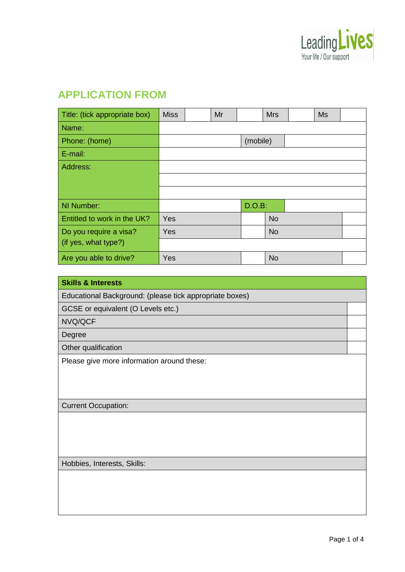

## **APPLICATION FROM**

| Title: (tick appropriate box) | <b>Miss</b> | Mr |          | <b>Mrs</b> | <b>Ms</b> |  |
|-------------------------------|-------------|----|----------|------------|-----------|--|
| Name:                         |             |    |          |            |           |  |
| Phone: (home)                 |             |    | (mobile) |            |           |  |
| E-mail:                       |             |    |          |            |           |  |
| Address:                      |             |    |          |            |           |  |
|                               |             |    |          |            |           |  |
|                               |             |    |          |            |           |  |
| NI Number:                    |             |    | D.O.B:   |            |           |  |
| Entitled to work in the UK?   | Yes         |    |          | <b>No</b>  |           |  |
| Do you require a visa?        | Yes         |    |          | <b>No</b>  |           |  |
| (if yes, what type?)          |             |    |          |            |           |  |
| Are you able to drive?        | Yes         |    |          | <b>No</b>  |           |  |

| <b>Skills &amp; Interests</b>                           |  |
|---------------------------------------------------------|--|
| Educational Background: (please tick appropriate boxes) |  |
| GCSE or equivalent (O Levels etc.)                      |  |
| NVQ/QCF                                                 |  |
| Degree                                                  |  |
| Other qualification                                     |  |
| Please give more information around these:              |  |
|                                                         |  |
|                                                         |  |
| <b>Current Occupation:</b>                              |  |
|                                                         |  |
|                                                         |  |
|                                                         |  |
| Hobbies, Interests, Skills:                             |  |
|                                                         |  |
|                                                         |  |
|                                                         |  |
|                                                         |  |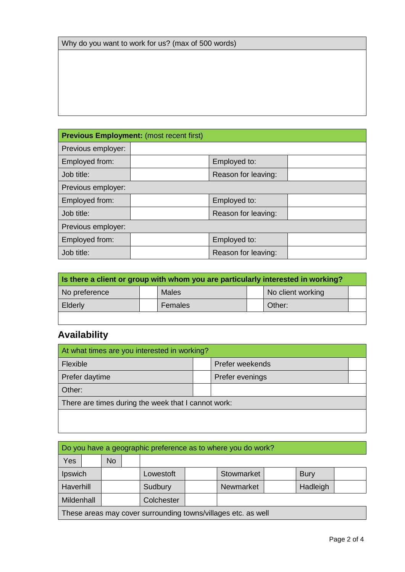| Why do you want to work for us? (max of 500 words) |  |
|----------------------------------------------------|--|
|----------------------------------------------------|--|

| <b>Previous Employment: (most recent first)</b> |  |                     |  |  |  |  |
|-------------------------------------------------|--|---------------------|--|--|--|--|
| Previous employer:                              |  |                     |  |  |  |  |
| Employed from:                                  |  | Employed to:        |  |  |  |  |
| Job title:                                      |  | Reason for leaving: |  |  |  |  |
| Previous employer:                              |  |                     |  |  |  |  |
| Employed from:                                  |  | Employed to:        |  |  |  |  |
| Job title:                                      |  | Reason for leaving: |  |  |  |  |
| Previous employer:                              |  |                     |  |  |  |  |
| Employed from:                                  |  | Employed to:        |  |  |  |  |
| Job title:                                      |  | Reason for leaving: |  |  |  |  |

| Is there a client or group with whom you are particularly interested in working? |  |              |  |                   |  |
|----------------------------------------------------------------------------------|--|--------------|--|-------------------|--|
| No preference                                                                    |  | <b>Males</b> |  | No client working |  |
| Elderly                                                                          |  | Females      |  | Other:            |  |
|                                                                                  |  |              |  |                   |  |

# **Availability**

| At what times are you interested in working?        |  |                 |  |  |  |
|-----------------------------------------------------|--|-----------------|--|--|--|
| Flexible                                            |  | Prefer weekends |  |  |  |
| Prefer daytime                                      |  | Prefer evenings |  |  |  |
| Other:                                              |  |                 |  |  |  |
| There are times during the week that I cannot work: |  |                 |  |  |  |
|                                                     |  |                 |  |  |  |

|            | Do you have a geographic preference as to where you do work?  |           |  |            |  |            |  |             |  |  |
|------------|---------------------------------------------------------------|-----------|--|------------|--|------------|--|-------------|--|--|
| <b>Yes</b> |                                                               | <b>No</b> |  |            |  |            |  |             |  |  |
| Ipswich    |                                                               |           |  | Lowestoft  |  | Stowmarket |  | <b>Bury</b> |  |  |
| Haverhill  |                                                               |           |  | Sudbury    |  | Newmarket  |  | Hadleigh    |  |  |
| Mildenhall |                                                               |           |  | Colchester |  |            |  |             |  |  |
|            | These areas may cover surrounding towns/villages etc. as well |           |  |            |  |            |  |             |  |  |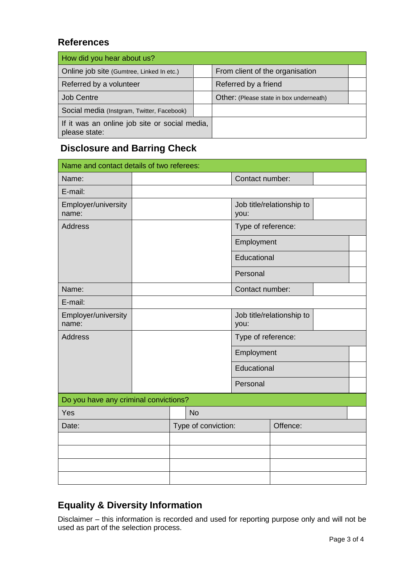#### **References**

| How did you hear about us?                                     |                                         |  |
|----------------------------------------------------------------|-----------------------------------------|--|
| Online job site (Gumtree, Linked In etc.)                      | From client of the organisation         |  |
| Referred by a volunteer                                        | Referred by a friend                    |  |
| <b>Job Centre</b>                                              | Other: (Please state in box underneath) |  |
| Social media (Instgram, Twitter, Facebook)                     |                                         |  |
| If it was an online job site or social media,<br>please state: |                                         |  |

### **Disclosure and Barring Check**

| Name and contact details of two referees: |                     |                    |                           |  |
|-------------------------------------------|---------------------|--------------------|---------------------------|--|
| Name:                                     |                     | Contact number:    |                           |  |
| E-mail:                                   |                     |                    |                           |  |
| Employer/university<br>name:              |                     | you:               | Job title/relationship to |  |
| <b>Address</b>                            |                     | Type of reference: |                           |  |
|                                           |                     | Employment         |                           |  |
|                                           |                     | Educational        |                           |  |
|                                           |                     | Personal           |                           |  |
| Name:                                     |                     | Contact number:    |                           |  |
| E-mail:                                   |                     |                    |                           |  |
| Employer/university<br>name:              |                     | you:               | Job title/relationship to |  |
| <b>Address</b>                            |                     | Type of reference: |                           |  |
|                                           |                     | Employment         |                           |  |
|                                           |                     | Educational        |                           |  |
|                                           |                     | Personal           |                           |  |
| Do you have any criminal convictions?     |                     |                    |                           |  |
| Yes                                       | <b>No</b>           |                    |                           |  |
| Date:                                     | Type of conviction: |                    | Offence:                  |  |
|                                           |                     |                    |                           |  |
|                                           |                     |                    |                           |  |
|                                           |                     |                    |                           |  |
|                                           |                     |                    |                           |  |

### **Equality & Diversity Information**

Disclaimer – this information is recorded and used for reporting purpose only and will not be used as part of the selection process.